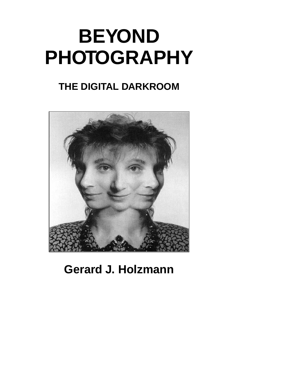# **BEYOND PHOTOGRAPHY**

## **THE DIGITAL DARKROOM**



**Gerard J. Holzmann**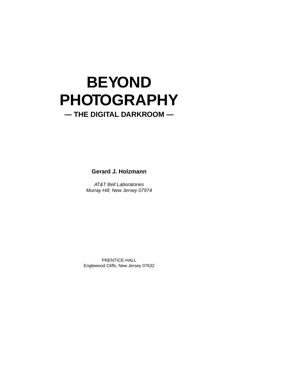## **BEYOND PHOTOGRAPHY**

### **— THE DIGITAL DARKROOM —**

**Gerard J. Holzmann**

AT&T Bell Laboratories Murray Hill, New Jersey 07974

PRENTICE-HALL Englewood Cliffs, New Jersey 07632